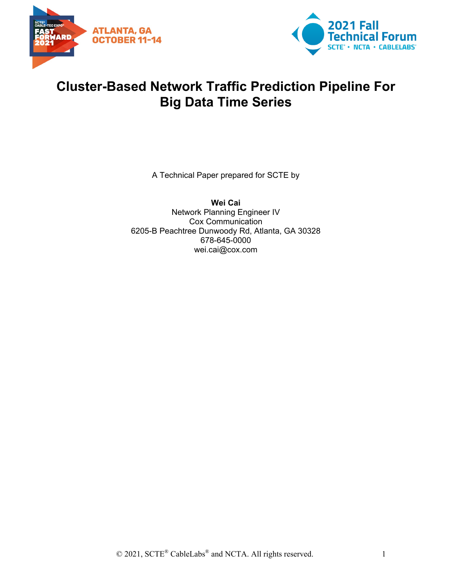



## **Cluster-Based Network Traffic Prediction Pipeline For Big Data Time Series**

A Technical Paper prepared for SCTE by

**Wei Cai** Network Planning Engineer IV Cox Communication 6205-B Peachtree Dunwoody Rd, Atlanta, GA 30328 678-645-0000 wei.cai@cox.com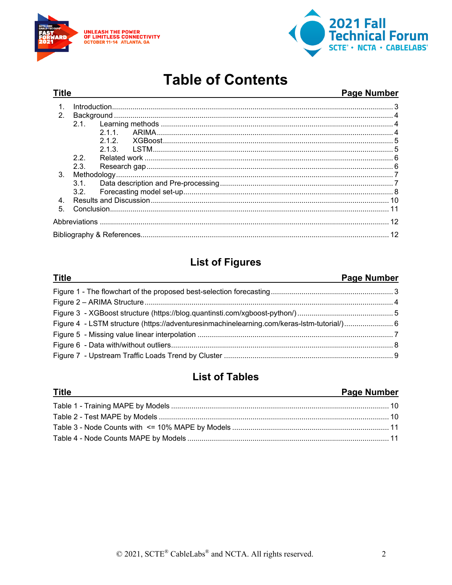

**Title** 



# **Table of Contents**

#### **Page Number**

| 1.             |      |     |  |  |
|----------------|------|-----|--|--|
| 2 <sub>1</sub> |      |     |  |  |
|                |      |     |  |  |
|                |      |     |  |  |
|                |      | 212 |  |  |
|                |      |     |  |  |
|                | 2.2. |     |  |  |
|                | 2.3. |     |  |  |
| 3 <sub>1</sub> |      |     |  |  |
|                | 3.1  |     |  |  |
|                | 3.2  |     |  |  |
| 4 <sup>1</sup> |      |     |  |  |
| 5 <sub>1</sub> |      |     |  |  |
|                |      |     |  |  |
|                |      |     |  |  |

## **List of Figures**

#### **Page Number Title** Figure 4 - LSTM structure (https://adventuresinmachinelearning.com/keras-lstm-tutorial/)............................ 6

## **List of Tables**

#### **Title Page Number**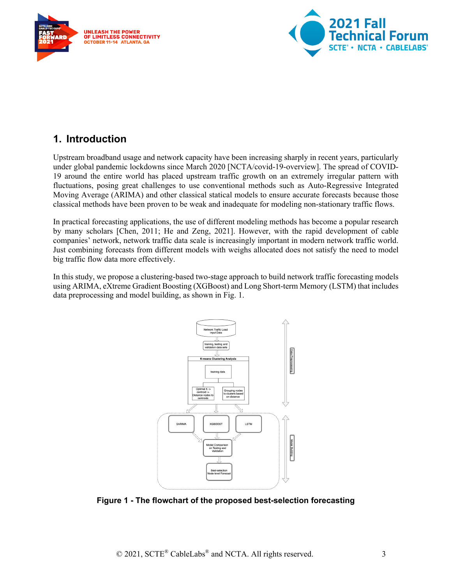



## <span id="page-2-0"></span>**1. Introduction**

Upstream broadband usage and network capacity have been increasing sharply in recent years, particularly under global pandemic lockdowns since March 2020 [NCTA/covid-19-overview]. The spread of COVID-19 around the entire world has placed upstream traffic growth on an extremely irregular pattern with fluctuations, posing great challenges to use conventional methods such as Auto-Regressive Integrated Moving Average (ARIMA) and other classical statical models to ensure accurate forecasts because those classical methods have been proven to be weak and inadequate for modeling non-stationary traffic flows.

In practical forecasting applications, the use of different modeling methods has become a popular research by many scholars [Chen, 2011; He and Zeng, 2021]. However, with the rapid development of cable companies' network, network traffic data scale is increasingly important in modern network traffic world. Just combining forecasts from different models with weighs allocated does not satisfy the need to model big traffic flow data more effectively.

In this study, we propose a clustering-based two-stage approach to build network traffic forecasting models using ARIMA, eXtreme Gradient Boosting (XGBoost) and Long Short-term Memory (LSTM) that includes data preprocessing and model building, as shown in Fig. 1.



<span id="page-2-1"></span>**Figure 1 - The flowchart of the proposed best-selection forecasting**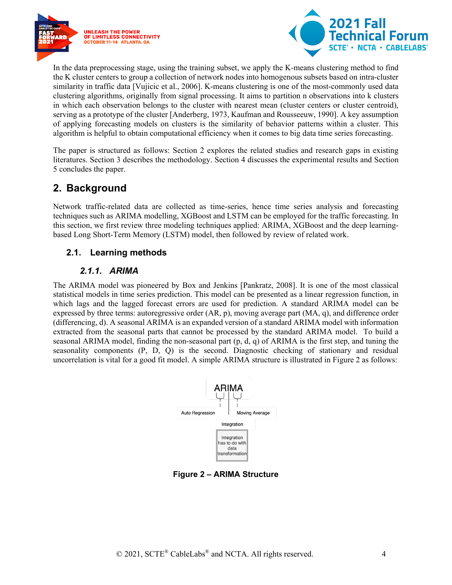



In the data preprocessing stage, using the training subset, we apply the K-means clustering method to find the K cluster centers to group a collection of network nodes into homogenous subsets based on intra-cluster similarity in traffic data [Vujicic et al., 2006]. K-means clustering is one of the most-commonly used data clustering algorithms, originally from signal processing. It aims to partition n observations into k clusters in which each observation belongs to the cluster with nearest mean (cluster centers or cluster centroid), serving as a prototype of the cluster [Anderberg, 1973, Kaufman and Rousseeuw, 1990]. A key assumption of applying forecasting models on clusters is the similarity of behavior patterns within a cluster. This algorithm is helpful to obtain computational efficiency when it comes to big data time series forecasting.

The paper is structured as follows: Section 2 explores the related studies and research gaps in existing literatures. Section 3 describes the methodology. Section 4 discusses the experimental results and Section 5 concludes the paper.

### <span id="page-3-0"></span>**2. Background**

Network traffic-related data are collected as time-series, hence time series analysis and forecasting techniques such as ARIMA modelling, XGBoost and LSTM can be employed for the traffic forecasting. In this section, we first review three modeling techniques applied: ARIMA, XGBoost and the deep learningbased Long Short-Term Memory (LSTM) model, then followed by review of related work.

#### <span id="page-3-1"></span>**2.1. Learning methods**

#### *2.1.1. ARIMA*

<span id="page-3-2"></span>The ARIMA model was pioneered by Box and Jenkins [Pankratz, 2008]. It is one of the most classical statistical models in time series prediction. This model can be presented as a linear regression function, in which lags and the lagged forecast errors are used for prediction. A standard ARIMA model can be expressed by three terms: autoregressive order (AR, p), moving average part (MA, q), and difference order (differencing, d). A seasonal ARIMA is an expanded version of a standard ARIMA model with information extracted from the seasonal parts that cannot be processed by the standard ARIMA model. To build a seasonal ARIMA model, finding the non-seasonal part  $(p, d, q)$  of ARIMA is the first step, and tuning the seasonality components (P, D, Q) is the second. Diagnostic checking of stationary and residual uncorrelation is vital for a good fit model. A simple ARIMA structure is illustrated in Figure 2 as follows:



<span id="page-3-3"></span>**Figure 2 – ARIMA Structure**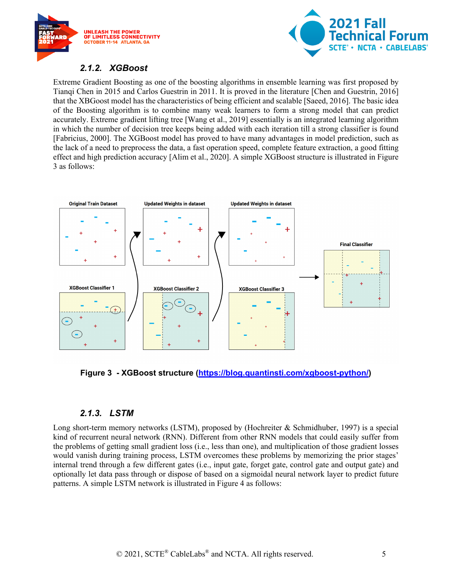



#### *2.1.2. XGBoost*

<span id="page-4-0"></span>Extreme Gradient Boosting as one of the boosting algorithms in ensemble learning was first proposed by Tianqi Chen in 2015 and Carlos Guestrin in 2011. It is proved in the literature [Chen and Guestrin, 2016] that the XBGoost model has the characteristics of being efficient and scalable [Saeed, 2016]. The basic idea of the Boosting algorithm is to combine many weak learners to form a strong model that can predict accurately. Extreme gradient lifting tree [Wang et al., 2019] essentially is an integrated learning algorithm in which the number of decision tree keeps being added with each iteration till a strong classifier is found [Fabricius, 2000]. The XGBoost model has proved to have many advantages in model prediction, such as the lack of a need to preprocess the data, a fast operation speed, complete feature extraction, a good fitting effect and high prediction accuracy [Alim et al., 2020]. A simple XGBoost structure is illustrated in Figure 3 as follows:



<span id="page-4-2"></span>**Figure 3 - XGBoost structure [\(https://blog.quantinsti.com/xgboost-python/\)](https://blog.quantinsti.com/xgboost-python/)**

#### *2.1.3. LSTM*

<span id="page-4-1"></span>Long short-term memory networks (LSTM), proposed by (Hochreiter & Schmidhuber, 1997) is a special kind of recurrent neural network (RNN). Different from other RNN models that could easily suffer from the problems of getting small gradient loss (i.e., less than one), and multiplication of those gradient losses would vanish during training process, LSTM overcomes these problems by memorizing the prior stages' internal trend through a few different gates (i.e., input gate, forget gate, control gate and output gate) and optionally let data pass through or dispose of based on a sigmoidal neural network layer to predict future patterns. A simple LSTM network is illustrated in Figure 4 as follows: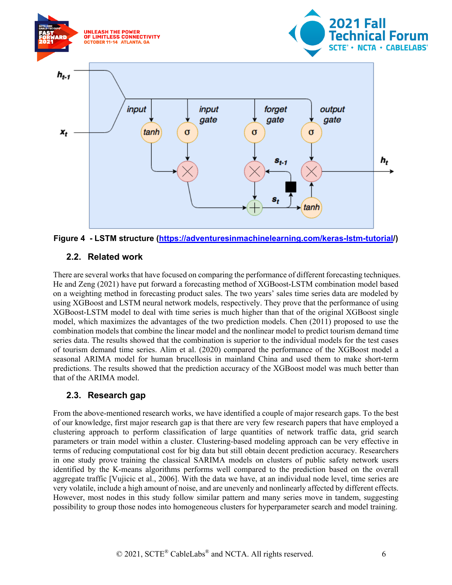

<span id="page-5-2"></span>

#### <span id="page-5-0"></span>**2.2. Related work**

There are several works that have focused on comparing the performance of different forecasting techniques. He and Zeng (2021) have put forward a forecasting method of XGBoost-LSTM combination model based on a weighting method in forecasting product sales. The two years' sales time series data are modeled by using XGBoost and LSTM neural network models, respectively. They prove that the performance of using XGBoost-LSTM model to deal with time series is much higher than that of the original XGBoost single model, which maximizes the advantages of the two prediction models. Chen (2011) proposed to use the combination models that combine the linear model and the nonlinear model to predict tourism demand time series data. The results showed that the combination is superior to the individual models for the test cases of tourism demand time series. Alim et al. (2020) compared the performance of the XGBoost model a seasonal ARIMA model for human brucellosis in mainland China and used them to make short-term predictions. The results showed that the prediction accuracy of the XGBoost model was much better than that of the ARIMA model.

#### <span id="page-5-1"></span>**2.3. Research gap**

From the above-mentioned research works, we have identified a couple of major research gaps. To the best of our knowledge, first major research gap is that there are very few research papers that have employed a clustering approach to perform classification of large quantities of network traffic data, grid search parameters or train model within a cluster. Clustering-based modeling approach can be very effective in terms of reducing computational cost for big data but still obtain decent prediction accuracy. Researchers in one study prove training the classical SARIMA models on clusters of public safety network users identified by the K-means algorithms performs well compared to the prediction based on the overall aggregate traffic [Vujicic et al., 2006]. With the data we have, at an individual node level, time series are very volatile, include a high amount of noise, and are unevenly and nonlinearly affected by different effects. However, most nodes in this study follow similar pattern and many series move in tandem, suggesting possibility to group those nodes into homogeneous clusters for hyperparameter search and model training.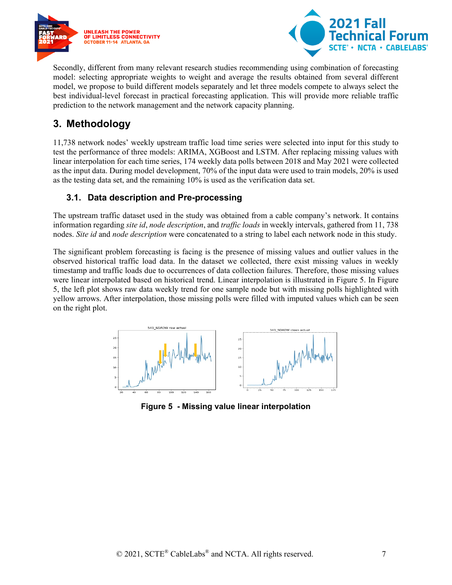



Secondly, different from many relevant research studies recommending using combination of forecasting model: selecting appropriate weights to weight and average the results obtained from several different model, we propose to build different models separately and let three models compete to always select the best individual-level forecast in practical forecasting application. This will provide more reliable traffic prediction to the network management and the network capacity planning.

### <span id="page-6-0"></span>**3. Methodology**

11,738 network nodes' weekly upstream traffic load time series were selected into input for this study to test the performance of three models: ARIMA, XGBoost and LSTM. After replacing missing values with linear interpolation for each time series, 174 weekly data polls between 2018 and May 2021 were collected as the input data. During model development, 70% of the input data were used to train models, 20% is used as the testing data set, and the remaining 10% is used as the verification data set.

#### <span id="page-6-1"></span>**3.1. Data description and Pre-processing**

The upstream traffic dataset used in the study was obtained from a cable company's network. It contains information regarding *site id*, *node description*, and *traffic loads* in weekly intervals, gathered from 11, 738 nodes. *Site id* and *node description* were concatenated to a string to label each network node in this study.

The significant problem forecasting is facing is the presence of missing values and outlier values in the observed historical traffic load data. In the dataset we collected, there exist missing values in weekly timestamp and traffic loads due to occurrences of data collection failures. Therefore, those missing values were linear interpolated based on historical trend. Linear interpolation is illustrated in Figure 5. In Figure 5, the left plot shows raw data weekly trend for one sample node but with missing polls highlighted with yellow arrows. After interpolation, those missing polls were filled with imputed values which can be seen on the right plot.



<span id="page-6-2"></span>**Figure 5 - Missing value linear interpolation**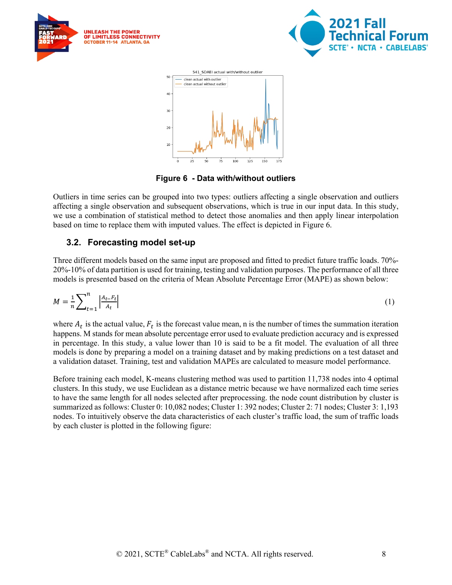





**Figure 6 - Data with/without outliers**

<span id="page-7-1"></span>Outliers in time series can be grouped into two types: outliers affecting a single observation and outliers affecting a single observation and subsequent observations, which is true in our input data. In this study, we use a combination of statistical method to detect those anomalies and then apply linear interpolation based on time to replace them with imputed values. The effect is depicted in Figure 6.

#### <span id="page-7-0"></span>**3.2. Forecasting model set-up**

Three different models based on the same input are proposed and fitted to predict future traffic loads. 70%- 20%-10% of data partition is used for training, testing and validation purposes. The performance of all three models is presented based on the criteria of Mean Absolute Percentage Error (MAPE) as shown below:

$$
M = \frac{1}{n} \sum_{t=1}^{n} \left| \frac{A_{t-} F_t}{A_t} \right| \tag{1}
$$

where  $A_t$  is the actual value,  $F_t$  is the forecast value mean, n is the number of times the summation iteration happens. M stands for mean absolute percentage error used to evaluate prediction accuracy and is expressed in percentage. In this study, a value lower than 10 is said to be a fit model. The evaluation of all three models is done by preparing a model on a training dataset and by making predictions on a test dataset and a validation dataset. Training, test and validation MAPEs are calculated to measure model performance.

Before training each model, K-means clustering method was used to partition 11,738 nodes into 4 optimal clusters. In this study, we use Euclidean as a distance metric because we have normalized each time series to have the same length for all nodes selected after preprocessing. the node count distribution by cluster is summarized as follows: Cluster 0: 10,082 nodes; Cluster 1: 392 nodes; Cluster 2: 71 nodes; Cluster 3: 1,193 nodes. To intuitively observe the data characteristics of each cluster's traffic load, the sum of traffic loads by each cluster is plotted in the following figure: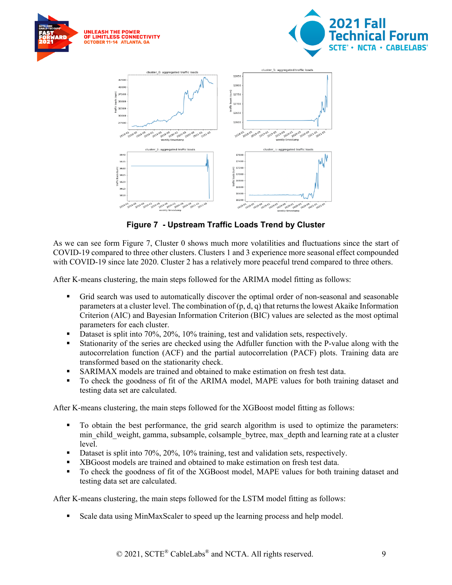





**Figure 7 - Upstream Traffic Loads Trend by Cluster**

<span id="page-8-0"></span>As we can see form Figure 7, Cluster 0 shows much more volatilities and fluctuations since the start of COVID-19 compared to three other clusters. Clusters 1 and 3 experience more seasonal effect compounded with COVID-19 since late 2020. Cluster 2 has a relatively more peaceful trend compared to three others.

After K-means clustering, the main steps followed for the ARIMA model fitting as follows:

- Grid search was used to automatically discover the optimal order of non-seasonal and seasonable parameters at a cluster level. The combination of  $(p, d, q)$  that returns the lowest Akaike Information Criterion (AIC) and Bayesian Information Criterion (BIC) values are selected as the most optimal parameters for each cluster.
- Dataset is split into 70%, 20%, 10% training, test and validation sets, respectively.
- Stationarity of the series are checked using the Adfuller function with the P-value along with the autocorrelation function (ACF) and the partial autocorrelation (PACF) plots. Training data are transformed based on the stationarity check.
- SARIMAX models are trained and obtained to make estimation on fresh test data.
- To check the goodness of fit of the ARIMA model, MAPE values for both training dataset and testing data set are calculated.

After K-means clustering, the main steps followed for the XGBoost model fitting as follows:

- To obtain the best performance, the grid search algorithm is used to optimize the parameters: min child weight, gamma, subsample, colsample bytree, max depth and learning rate at a cluster level.
- Dataset is split into 70%, 20%, 10% training, test and validation sets, respectively.
- XBGoost models are trained and obtained to make estimation on fresh test data.
- To check the goodness of fit of the XGBoost model, MAPE values for both training dataset and testing data set are calculated.

After K-means clustering, the main steps followed for the LSTM model fitting as follows:

Scale data using MinMaxScaler to speed up the learning process and help model.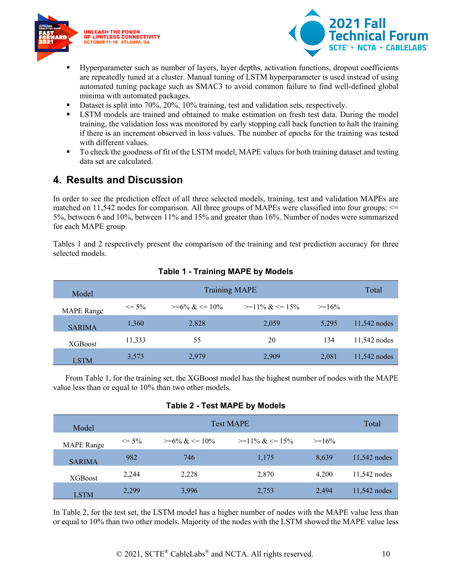



- Hyperparameter such as number of layers, layer depths, activation functions, dropout coefficients are repeatedly tuned at a cluster. Manual tuning of LSTM hyperparameter is used instead of using automated tuning package such as SMAC3 to avoid common failure to find well-defined global minima with automated packages.
- Dataset is split into 70%, 20%, 10% training, test and validation sets, respectively.
- LSTM models are trained and obtained to make estimation on fresh test data. During the model training, the validation loss was monitored by early stopping call back function to halt the training if there is an increment observed in loss values. The number of epochs for the training was tested with different values.
- To check the goodness of fit of the LSTM model, MAPE values for both training dataset and testing data set are calculated.

## <span id="page-9-0"></span>**4. Results and Discussion**

In order to see the prediction effect of all three selected models, training, test and validation MAPEs are matched on 11,542 nodes for comparison. All three groups of MAPEs were classified into four groups: <= 5%, between 6 and 10%, between 11% and 15% and greater than 16%. Number of nodes were summarized for each MAPE group.

<span id="page-9-1"></span>Tables 1 and 2 respectively present the comparison of the training and test prediction accuracy for three selected models.

| Model             | <b>Training MAPE</b> |                  |                  | Total    |              |
|-------------------|----------------------|------------------|------------------|----------|--------------|
| <b>MAPE</b> Range | $\leq$ 5%            | $>=6\% \<= 10\%$ | $>=11\% \<=15\%$ | $>=16\%$ |              |
| <b>SARIMA</b>     | 1,360                | 2,828            | 2,059            | 5,295    | 11,542 nodes |
| <b>XGBoost</b>    | 11,333               | 55               | 20               | 134      | 11,542 nodes |
| <b>LSTM</b>       | 3,573                | 2,979            | 2,909            | 2,081    | 11,542 nodes |

#### **Table 1 - Training MAPE by Models**

<span id="page-9-2"></span> From Table 1, for the training set, the XGBoost model has the highest number of nodes with the MAPE value less than or equal to 10% than two other models.

#### **Table 2 - Test MAPE by Models**

| Model             | <b>Test MAPE</b> |                         |                  |          | Total          |
|-------------------|------------------|-------------------------|------------------|----------|----------------|
| <b>MAPE</b> Range | $\leq$ 5%        | $\geq 6\% \& \leq 10\%$ | $>=11\% \<=15\%$ | $>=16\%$ |                |
| <b>SARIMA</b>     | 982              | 746                     | 1,175            | 8,639    | 11,542 nodes   |
| <b>XGBoost</b>    | 2.244            | 2,228                   | 2,870            | 4.200    | $11,542$ nodes |
| <b>LSTM</b>       | 2,299            | 3,996                   | 2,753            | 2.494    | 11,542 nodes   |

In Table 2, for the test set, the LSTM model has a higher number of nodes with the MAPE value less than or equal to 10% than two other models. Majority of the nodes with the LSTM showed the MAPE value less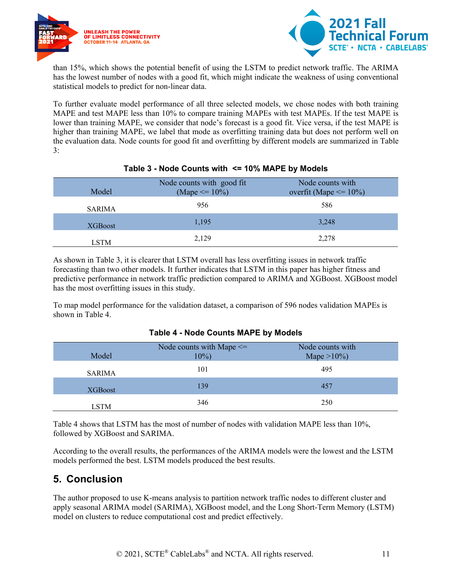



than 15%, which shows the potential benefit of using the LSTM to predict network traffic. The ARIMA has the lowest number of nodes with a good fit, which might indicate the weakness of using conventional statistical models to predict for non-linear data.

To further evaluate model performance of all three selected models, we chose nodes with both training MAPE and test MAPE less than 10% to compare training MAPEs with test MAPEs. If the test MAPE is lower than training MAPE, we consider that node's forecast is a good fit. Vice versa, if the test MAPE is higher than training MAPE, we label that mode as overfitting training data but does not perform well on the evaluation data. Node counts for good fit and overfitting by different models are summarized in Table 3:

<span id="page-10-1"></span>

| Model       | Node counts with good fit<br>(Mape $\leq$ = 10%) | Node counts with<br>overfit (Mape $\leq$ 10%) |
|-------------|--------------------------------------------------|-----------------------------------------------|
| SARIMA      | 956                                              | 586                                           |
| XGBoost     | 1,195                                            | 3,248                                         |
| <b>LSTM</b> | 2,129                                            | 2,278                                         |

#### **Table 3 - Node Counts with <= 10% MAPE by Models**

As shown in Table 3, it is clearer that LSTM overall has less overfitting issues in network traffic forecasting than two other models. It further indicates that LSTM in this paper has higher fitness and predictive performance in network traffic prediction compared to ARIMA and XGBoost. XGBoost model has the most overfitting issues in this study.

<span id="page-10-2"></span>To map model performance for the validation dataset, a comparison of 596 nodes validation MAPEs is shown in Table 4.

| Model         | Node counts with Mape $\leq$<br>$10\%)$ | Node counts with<br>Mape $>10\%$ ) |
|---------------|-----------------------------------------|------------------------------------|
| <b>SARIMA</b> | 101                                     | 495                                |
| XGBoost       | 139                                     | 457                                |
| LSTM          | 346                                     | 250                                |

#### **Table 4 - Node Counts MAPE by Models**

Table 4 shows that LSTM has the most of number of nodes with validation MAPE less than 10%, followed by XGBoost and SARIMA.

According to the overall results, the performances of the ARIMA models were the lowest and the LSTM models performed the best. LSTM models produced the best results.

## <span id="page-10-0"></span>**5. Conclusion**

The author proposed to use K-means analysis to partition network traffic nodes to different cluster and apply seasonal ARIMA model (SARIMA), XGBoost model, and the Long Short-Term Memory (LSTM) model on clusters to reduce computational cost and predict effectively.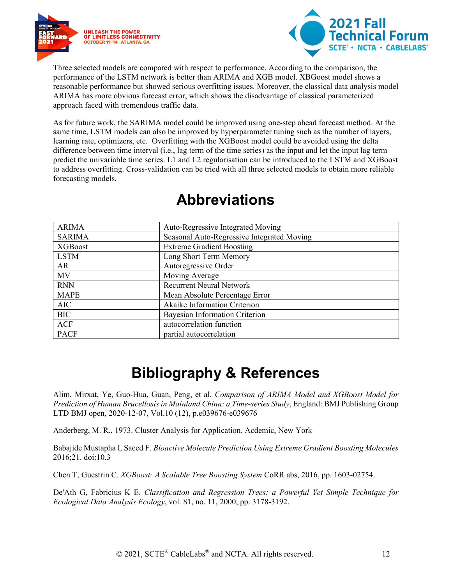



Three selected models are compared with respect to performance. According to the comparison, the performance of the LSTM network is better than ARIMA and XGB model. XBGoost model shows a reasonable performance but showed serious overfitting issues. Moreover, the classical data analysis model ARIMA has more obvious forecast error, which shows the disadvantage of classical parameterized approach faced with tremendous traffic data.

As for future work, the SARIMA model could be improved using one-step ahead forecast method. At the same time, LSTM models can also be improved by hyperparameter tuning such as the number of layers, learning rate, optimizers, etc. Overfitting with the XGBoost model could be avoided using the delta difference between time interval (i.e., lag term of the time series) as the input and let the input lag term predict the univariable time series. L1 and L2 regularisation can be introduced to the LSTM and XGBoost to address overfitting. Cross-validation can be tried with all three selected models to obtain more reliable forecasting models.

<span id="page-11-0"></span>

| <b>ARIMA</b>   | Auto-Regressive Integrated Moving          |
|----------------|--------------------------------------------|
| <b>SARIMA</b>  | Seasonal Auto-Regressive Integrated Moving |
| <b>XGBoost</b> | <b>Extreme Gradient Boosting</b>           |
| <b>LSTM</b>    | Long Short Term Memory                     |
| AR             | Autoregressive Order                       |
| MV             | Moving Average                             |
| <b>RNN</b>     | <b>Recurrent Neural Network</b>            |
| <b>MAPE</b>    | Mean Absolute Percentage Error             |
| <b>AIC</b>     | Akaike Information Criterion               |
| <b>BIC</b>     | Bayesian Information Criterion             |
| <b>ACF</b>     | autocorrelation function                   |
| <b>PACF</b>    | partial autocorrelation                    |

## **Abbreviations**

# **Bibliography & References**

<span id="page-11-1"></span>Alim, Mirxat, Ye, Guo-Hua, Guan, Peng, et al. *Comparison of ARIMA Model and XGBoost Model for Prediction of Human Brucellosis in Mainland China: a Time-series Study*, England: BMJ Publishing Group LTD BMJ open, 2020-12-07, Vol.10 (12), p.e039676-e039676

Anderberg, M. R., 1973. Cluster Analysis for Application. Acdemic, New York

Babajide Mustapha I, Saeed F. *Bioactive Molecule Prediction Using Extreme Gradient Boosting Molecules* 2016;21. doi:10.3

Chen T, Guestrin C. *XGBoost: A Scalable Tree Boosting System* CoRR abs, 2016, pp. 1603-02754.

De'Ath G, Fabricius K E. *Classification and Regression Trees: a Powerful Yet Simple Technique for Ecological Data Analysis Ecology*, vol. 81, no. 11, 2000, pp. 3178-3192.